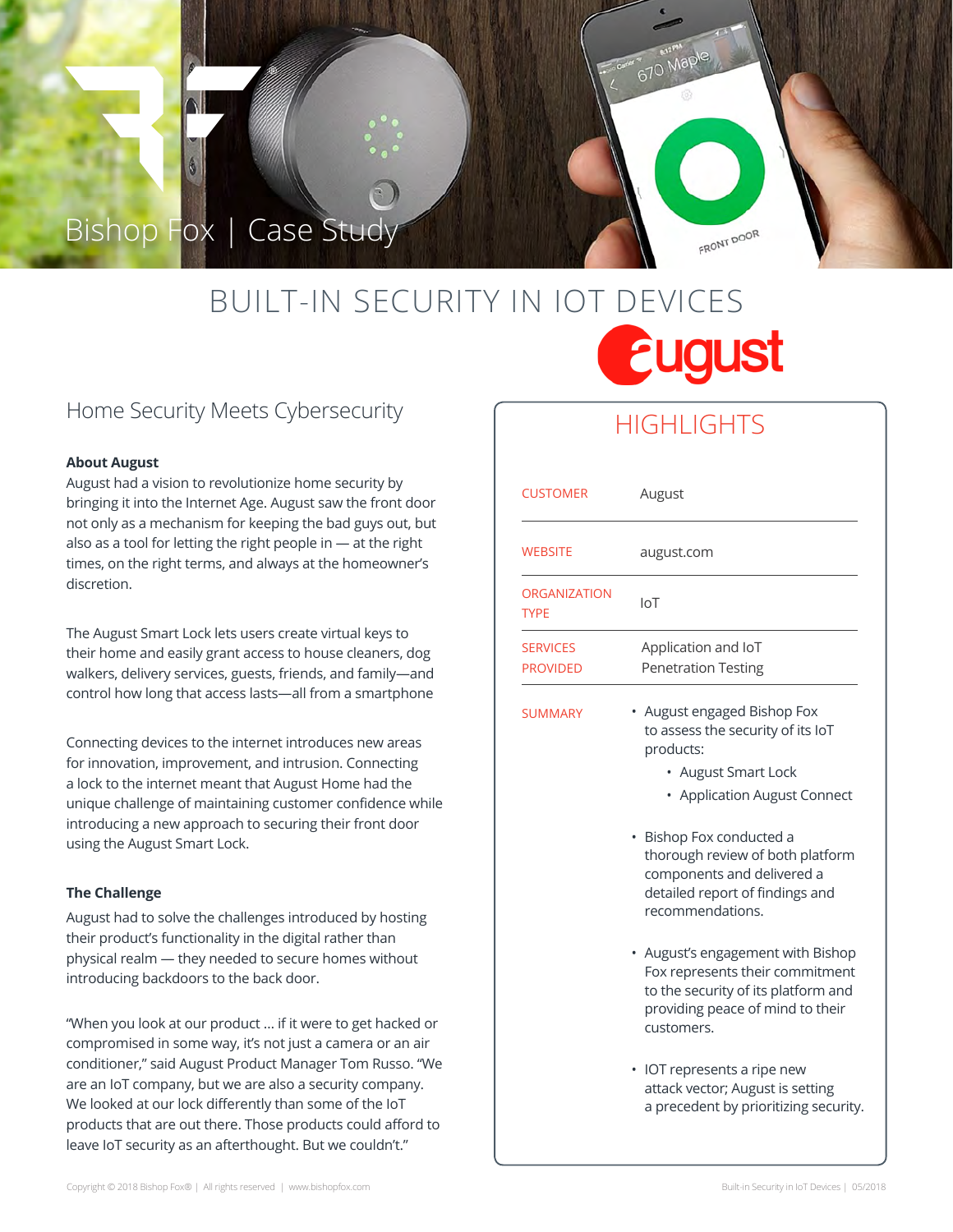## Bishop Fox | Case Study

# BUILT-IN SECURITY IN IOT DEVICES **Eugust**

### Home Security Meets Cybersecurity

#### **About August**

August had a vision to revolutionize home security by bringing it into the Internet Age. August saw the front door not only as a mechanism for keeping the bad guys out, but also as a tool for letting the right people in — at the right times, on the right terms, and always at the homeowner's discretion.

The August Smart Lock lets users create virtual keys to their home and easily grant access to house cleaners, dog walkers, delivery services, guests, friends, and family—and control how long that access lasts—all from a smartphone

Connecting devices to the internet introduces new areas for innovation, improvement, and intrusion. Connecting a lock to the internet meant that August Home had the unique challenge of maintaining customer confidence while introducing a new approach to securing their front door using the August Smart Lock.

#### **The Challenge**

August had to solve the challenges introduced by hosting their product's functionality in the digital rather than physical realm — they needed to secure homes without introducing backdoors to the back door.

/ products that are out there. Those products could afford to "When you look at our product … if it were to get hacked or compromised in some way, it's not just a camera or an air conditioner," said August Product Manager Tom Russo. "We are an IoT company, but we are also a security company. We looked at our lock differently than some of the IoT leave IoT security as an afterthought. But we couldn't."

## **HIGHLIGHTS**

FRONT DOOR

| <b>CUSTOMER</b>                    | August                                                                                                                                                                                                                                                                                |
|------------------------------------|---------------------------------------------------------------------------------------------------------------------------------------------------------------------------------------------------------------------------------------------------------------------------------------|
| <b>WEBSITE</b>                     | august.com                                                                                                                                                                                                                                                                            |
| <b>ORGANIZATION</b><br><b>TYPE</b> | I <sub>O</sub>                                                                                                                                                                                                                                                                        |
| <b>SERVICES</b><br><b>PROVIDED</b> | Application and IoT<br><b>Penetration Testing</b>                                                                                                                                                                                                                                     |
| <b>SUMMARY</b>                     | August engaged Bishop Fox<br>to assess the security of its IoT<br>products:<br>• August Smart Lock<br>• Application August Connect<br>Bishop Fox conducted a<br>thorough review of both platform<br>components and delivered a<br>detailed report of findings and<br>recommendations. |
|                                    | August's engagement with Bishop<br>Fox represents their commitment<br>to the security of its platform and<br>providing peace of mind to their<br>customers.                                                                                                                           |
|                                    | IOT represents a ripe new<br>٠<br>attack vector; August is setting<br>a precedent by prioritizing security.                                                                                                                                                                           |